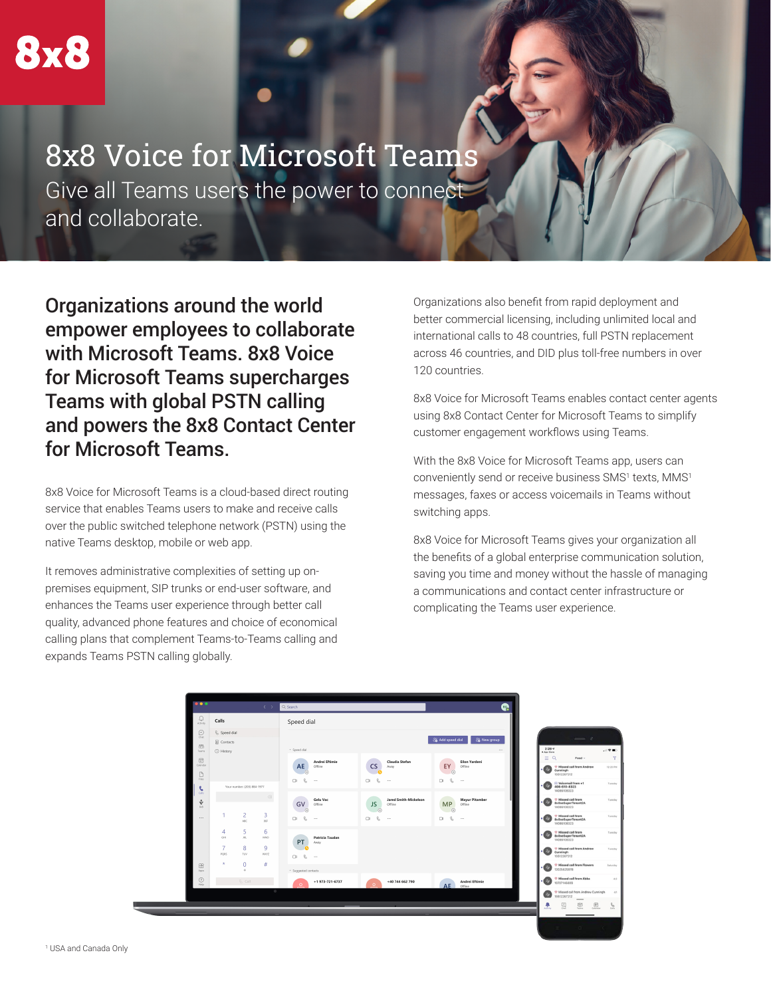# 8x8 Voice for Microsoft Teams

Give all Teams users the power to connect and collaborate.

Organizations around the world empower employees to collaborate with Microsoft Teams. 8x8 Voice for Microsoft Teams supercharges Teams with global PSTN calling and powers the 8x8 Contact Center for Microsoft Teams.

8x8 Voice for Microsoft Teams is a cloud-based direct routing service that enables Teams users to make and receive calls over the public switched telephone network (PSTN) using the native Teams desktop, mobile or web app.

It removes administrative complexities of setting up onpremises equipment, SIP trunks or end-user software, and enhances the Teams user experience through better call quality, advanced phone features and choice of economical calling plans that complement Teams-to-Teams calling and expands Teams PSTN calling globally.

Organizations also benefit from rapid deployment and better commercial licensing, including unlimited local and international calls to 48 countries, full PSTN replacement across 46 countries, and DID plus toll-free numbers in over 120 countries.

8x8 Voice for Microsoft Teams enables contact center agents using 8x8 Contact Center for Microsoft Teams to simplify customer engagement workflows using Teams.

With the 8x8 Voice for Microsoft Teams app, users can conveniently send or receive business SMS1 texts, MMS1 messages, faxes or access voicemails in Teams without switching apps.

8x8 Voice for Microsoft Teams gives your organization all the benefits of a global enterprise communication solution, saving you time and money without the hassle of managing a communications and contact center infrastructure or complicating the Teams user experience.